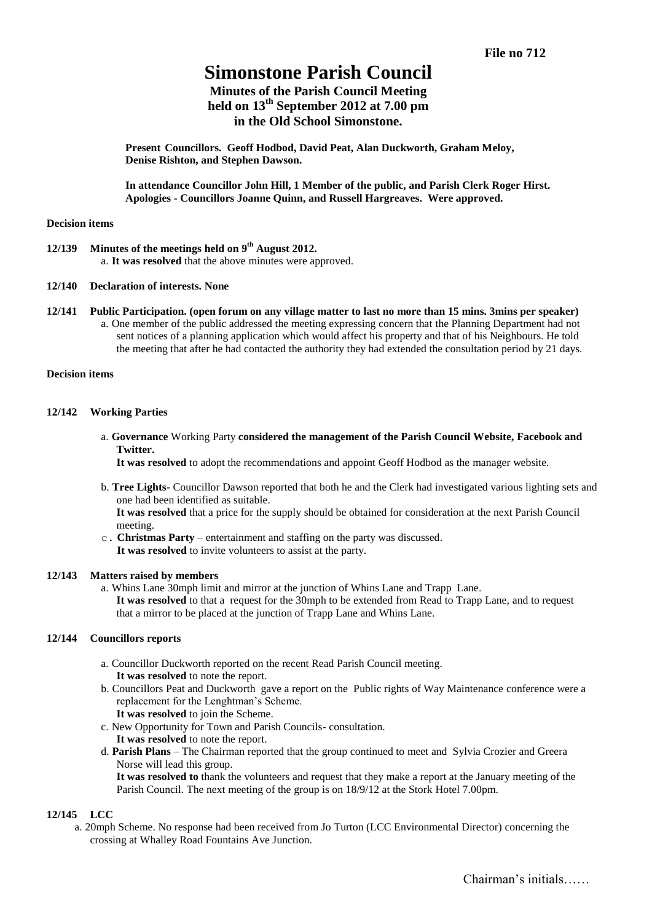# **Simonstone Parish Council**

# **Minutes of the Parish Council Meeting held on 13th September 2012 at 7.00 pm in the Old School Simonstone.**

**Present Councillors. Geoff Hodbod, David Peat, Alan Duckworth, Graham Meloy, Denise Rishton, and Stephen Dawson.**

**In attendance Councillor John Hill, 1 Member of the public, and Parish Clerk Roger Hirst. Apologies - Councillors Joanne Quinn, and Russell Hargreaves. Were approved.**

#### **Decision items**

- **12/139 Minutes of the meetings held on 9 th August 2012.** a. **It was resolved** that the above minutes were approved.
- **12/140 Declaration of interests. None**
- **12/141 Public Participation. (open forum on any village matter to last no more than 15 mins. 3mins per speaker)** a. One member of the public addressed the meeting expressing concern that the Planning Department had not sent notices of a planning application which would affect his property and that of his Neighbours. He told the meeting that after he had contacted the authority they had extended the consultation period by 21 days.

### **Decision items**

# **12/142 Working Parties**

a. **Governance** Working Party **considered the management of the Parish Council Website, Facebook and Twitter.**

**It was resolved** to adopt the recommendations and appoint Geoff Hodbod as the manager website.

b. **Tree Lights**- Councillor Dawson reported that both he and the Clerk had investigated various lighting sets and one had been identified as suitable.

**It was resolved** that a price for the supply should be obtained for consideration at the next Parish Council meeting.

c. **Christmas Party** – entertainment and staffing on the party was discussed.  **It was resolved** to invite volunteers to assist at the party.

# **12/143 Matters raised by members**

a. Whins Lane 30mph limit and mirror at the junction of Whins Lane and Trapp Lane. **It was resolved** to that a request for the 30mph to be extended from Read to Trapp Lane, and to request that a mirror to be placed at the junction of Trapp Lane and Whins Lane.

# **12/144 Councillors reports**

- a. Councillor Duckworth reported on the recent Read Parish Council meeting. **It was resolved** to note the report.
- b. Councillors Peat and Duckworth gave a report on the Public rights of Way Maintenance conference were a replacement for the Lenghtman's Scheme.
	- **It was resolved** to join the Scheme.
- c. New Opportunity for Town and Parish Councils- consultation.
	- **It was resolved** to note the report.
- d. **Parish Plans** The Chairman reported that the group continued to meet and Sylvia Crozier and Greera Norse will lead this group.

**It was resolved to** thank the volunteers and request that they make a report at the January meeting of the Parish Council. The next meeting of the group is on 18/9/12 at the Stork Hotel 7.00pm.

# **12/145 LCC**

a. 20mph Scheme. No response had been received from Jo Turton (LCC Environmental Director) concerning the crossing at Whalley Road Fountains Ave Junction.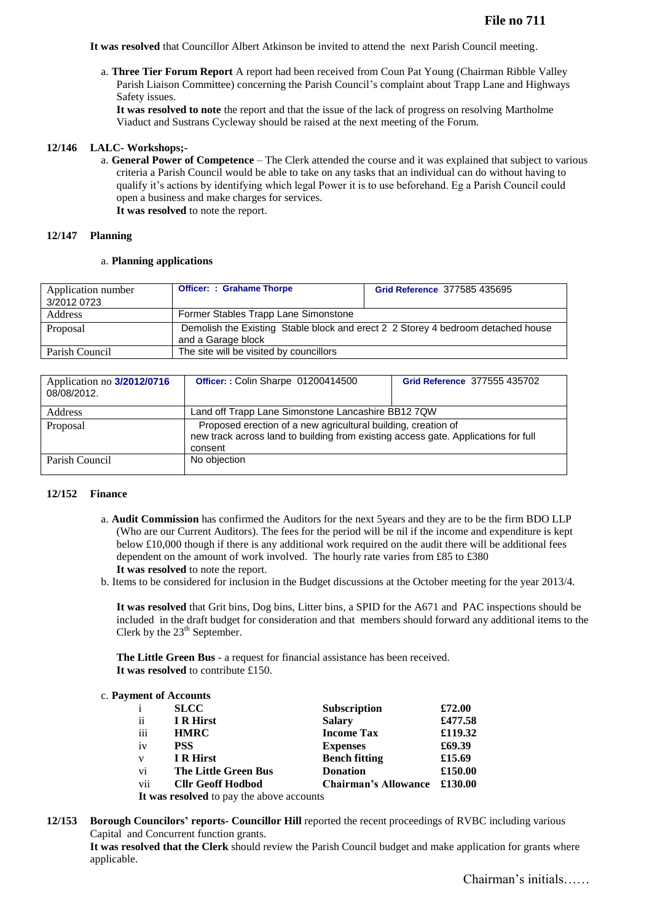**It was resolved** that Councillor Albert Atkinson be invited to attend the next Parish Council meeting.

a. **Three Tier Forum Report** A report had been received from Coun Pat Young (Chairman Ribble Valley Parish Liaison Committee) concerning the Parish Council's complaint about Trapp Lane and Highways Safety issues.

**It was resolved to note** the report and that the issue of the lack of progress on resolving Martholme Viaduct and Sustrans Cycleway should be raised at the next meeting of the Forum.

### **12/146 LALC- Workshops;-**

a. **General Power of Competence** – The Clerk attended the course and it was explained that subject to various criteria a Parish Council would be able to take on any tasks that an individual can do without having to qualify it's actions by identifying which legal Power it is to use beforehand. Eg a Parish Council could open a business and make charges for services.

**It was resolved** to note the report.

#### **12/147 Planning**

#### a. **Planning applications**

| Application number<br>3/2012 0723 | <b>Officer: : Grahame Thorpe</b>                                                 | Grid Reference 377585 435695 |  |
|-----------------------------------|----------------------------------------------------------------------------------|------------------------------|--|
| Address                           | Former Stables Trapp Lane Simonstone                                             |                              |  |
|                                   |                                                                                  |                              |  |
| Proposal                          | Demolish the Existing Stable block and erect 2 2 Storey 4 bedroom detached house |                              |  |
|                                   | and a Garage block                                                               |                              |  |
| Parish Council                    | The site will be visited by councillors                                          |                              |  |

| Application no 3/2012/0716<br>08/08/2012. | Officer:: Colin Sharpe 01200414500                                                                                                                             | Grid Reference 377555 435702 |  |
|-------------------------------------------|----------------------------------------------------------------------------------------------------------------------------------------------------------------|------------------------------|--|
| Address                                   | Land off Trapp Lane Simonstone Lancashire BB12 7QW                                                                                                             |                              |  |
| Proposal                                  | Proposed erection of a new agricultural building, creation of<br>new track across land to building from existing access gate. Applications for full<br>consent |                              |  |
| Parish Council                            | No objection                                                                                                                                                   |                              |  |

#### **12/152 Finance**

- a. **Audit Commission** has confirmed the Auditors for the next 5years and they are to be the firm BDO LLP (Who are our Current Auditors). The fees for the period will be nil if the income and expenditure is kept below £10,000 though if there is any additional work required on the audit there will be additional fees dependent on the amount of work involved. The hourly rate varies from £85 to £380 **It was resolved** to note the report.
- b. Items to be considered for inclusion in the Budget discussions at the October meeting for the year 2013/4.

**It was resolved** that Grit bins, Dog bins, Litter bins, a SPID for the A671 and PAC inspections should be included in the draft budget for consideration and that members should forward any additional items to the Clerk by the  $23<sup>th</sup>$  September.

**The Little Green Bus** - a request for financial assistance has been received. **It was resolved** to contribute £150.

#### c. **Payment of Accounts**

| $\mathbf{i}$  | <b>SLCC</b>                                                                                                | <b>Subscription</b>         | £72.00  |
|---------------|------------------------------------------------------------------------------------------------------------|-----------------------------|---------|
| $\mathbf{ii}$ | <b>IR</b> Hirst                                                                                            | <b>Salary</b>               | £477.58 |
| iii           | <b>HMRC</b>                                                                                                | <b>Income Tax</b>           | £119.32 |
| iv            | <b>PSS</b>                                                                                                 | <b>Expenses</b>             | £69.39  |
| $\mathbf{V}$  | <b>IR</b> Hirst                                                                                            | <b>Bench fitting</b>        | £15.69  |
| vi            | <b>The Little Green Bus</b>                                                                                | <b>Donation</b>             | £150.00 |
| vii           | <b>Cllr Geoff Hodbod</b>                                                                                   | <b>Chairman's Allowance</b> | £130.00 |
|               | <b>TA</b> denote the contract $\mathbf{I}$ and $\mathbf{I}$ are contracted to the contract of $\mathbf{I}$ |                             |         |

**It was resolved** to pay the above accounts

**12/153 Borough Councilors' reports- Councillor Hill** reported the recent proceedings of RVBC including various Capital and Concurrent function grants.

**It was resolved that the Clerk** should review the Parish Council budget and make application for grants where applicable.